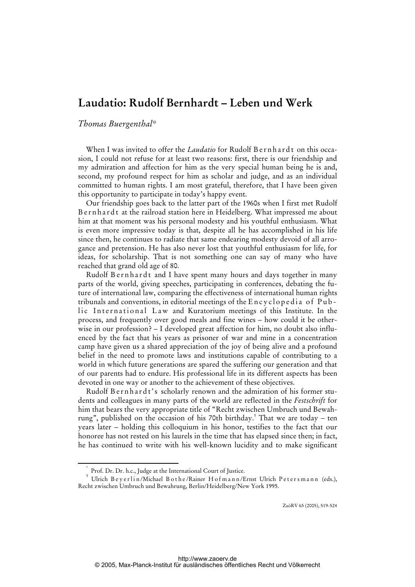# **Laudatio: Rudolf Bernhardt – Leben und Werk**

## *Thomas Buergenthal\**

When I was invited to offer the *Laudatio* for Rudolf Bernhardt on this occasion, I could not refuse for at least two reasons: first, there is our friendship and my admiration and affection for him as the very special human being he is and, second, my profound respect for him as scholar and judge, and as an individual committed to human rights. I am most grateful, therefore, that I have been given this opportunity to participate in today's happy event.

Our friendship goes back to the latter part of the 1960s when I first met Rudolf Bernhardt at the railroad station here in Heidelberg. What impressed me about him at that moment was his personal modesty and his youthful enthusiasm. What is even more impressive today is that, despite all he has accomplished in his life since then, he continues to radiate that same endearing modesty devoid of all arrogance and pretension. He has also never lost that youthful enthusiasm for life, for ideas, for scholarship. That is not something one can say of many who have reached that grand old age of 80.

Rudolf Bernhardt and I have spent many hours and days together in many parts of the world, giving speeches, participating in conferences, debating the future of international law, comparing the effectiveness of international human rights tribunals and conventions, in editorial meetings of the  $Encyclopedia of Pub$ lic International Law and Kuratorium meetings of this Institute. In the process, and frequently over good meals and fine wines – how could it be otherwise in our profession? – I developed great affection for him, no doubt also influenced by the fact that his years as prisoner of war and mine in a concentration camp have given us a shared appreciation of the joy of being alive and a profound belief in the need to promote laws and institutions capable of contributing to a world in which future generations are spared the suffering our generation and that of our parents had to endure. His professional life in its different aspects has been devoted in one way or another to the achievement of these objectives.

Rudolf Bernhardt's scholarly renown and the admiration of his former students and colleagues in many parts of the world are reflected in the *Festschrift* for him that bears the very appropriate title of "Recht zwischen Umbruch und Bewahrung", published on the occasion of his 70th birthday.<sup>1</sup> That we are today – ten years later – holding this colloquium in his honor, testifies to the fact that our honoree has not rested on his laurels in the time that has elapsed since then; in fact, he has continued to write with his well-known lucidity and to make significant

ZaöRV 65 (2005), 519-524

 <sup>\*</sup> Prof. Dr. Dr. h.c., Judge at the International Court of Justice.

 $^{\rm 1}$  Ulrich Beyerlin/Michael Bothe/Rainer Hofmann/Ernst Ulrich Petersmann (eds.), Recht zwischen Umbruch und Bewahrung, Berlin/Heidelberg/New York 1995.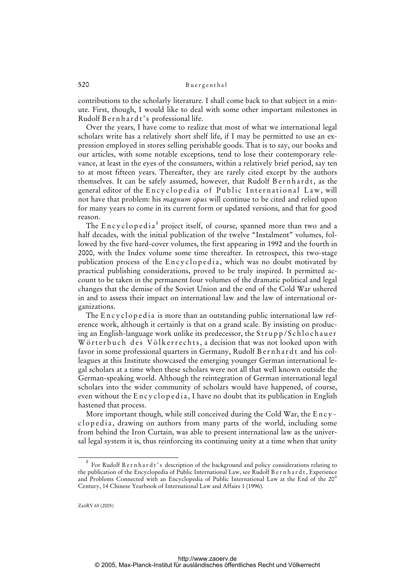### 520 Buergenthal

contributions to the scholarly literature. I shall come back to that subject in a minute. First, though, I would like to deal with some other important milestones in Rudolf Bernhardt's professional life.

Over the years, I have come to realize that most of what we international legal scholars write has a relatively short shelf life, if I may be permitted to use an expression employed in stores selling perishable goods. That is to say, our books and our articles, with some notable exceptions, tend to lose their contemporary relevance, at least in the eyes of the consumers, within a relatively brief period, say ten to at most fifteen years. Thereafter, they are rarely cited except by the authors themselves. It can be safely assumed, however, that Rudolf Bernhardt, as the general editor of the Encyclopedia of Public International Law, will not have that problem: his *magnum opus* will continue to be cited and relied upon for many years to come in its current form or updated versions, and that for good reason.

The  $\operatorname{Encyclopedia}^2$  project itself, of course, spanned more than two and a half decades, with the initial publication of the twelve "Instalment" volumes, followed by the five hard-cover volumes, the first appearing in 1992 and the fourth in 2000, with the Index volume some time thereafter. In retrospect, this two-stage publication process of the Encyclopedia, which was no doubt motivated by practical publishing considerations, proved to be truly inspired. It permitted account to be taken in the permanent four volumes of the dramatic political and legal changes that the demise of the Soviet Union and the end of the Cold War ushered in and to assess their impact on international law and the law of international organizations.

The Encyclopedia is more than an outstanding public international law reference work, although it certainly is that on a grand scale. By insisting on producing an English-language work unlike its predecessor, the Strupp/Schlochauer Wörterbuch des Völkerrechts, a decision that was not looked upon with favor in some professional quarters in Germany, Rudolf Bernhardt and his colleagues at this Institute showcased the emerging younger German international legal scholars at a time when these scholars were not all that well known outside the German-speaking world. Although the reintegration of German international legal scholars into the wider community of scholars would have happened, of course, even without the  $\text{Encyclopedia}$ , I have no doubt that its publication in English hastened that process.

More important though, while still conceived during the Cold War, the Encyclopedia, drawing on authors from many parts of the world, including some from behind the Iron Curtain, was able to present international law as the universal legal system it is, thus reinforcing its continuing unity at a time when that unity

<sup>2</sup> For Rudolf B e r n h a r d t ' s description of the background and policy considerations relating to the publication of the Encyclopedia of Public International Law, see Rudolf B e r n h a r d t, Experience and Problems Connected with an Encyclopedia of Public International Law at the End of the 20<sup>th</sup> Century, 14 Chinese Yearbook of International Law and Affairs 1 (1996).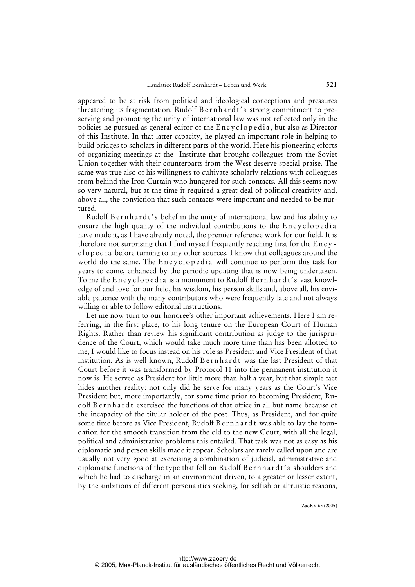appeared to be at risk from political and ideological conceptions and pressures threatening its fragmentation. Rudolf B e r n h a r d t's strong commitment to preserving and promoting the unity of international law was not reflected only in the policies he pursued as general editor of the Encyclopedia, but also as Director of this Institute. In that latter capacity, he played an important role in helping to build bridges to scholars in different parts of the world. Here his pioneering efforts of organizing meetings at the Institute that brought colleagues from the Soviet Union together with their counterparts from the West deserve special praise. The same was true also of his willingness to cultivate scholarly relations with colleagues from behind the Iron Curtain who hungered for such contacts. All this seems now so very natural, but at the time it required a great deal of political creativity and, above all, the conviction that such contacts were important and needed to be nurtured.

Rudolf Bernhardt's belief in the unity of international law and his ability to ensure the high quality of the individual contributions to the Encyclopedia have made it, as I have already noted, the premier reference work for our field. It is therefore not surprising that I find myself frequently reaching first for the E n c y clopedia before turning to any other sources. I know that colleagues around the world do the same. The Encyclopedia will continue to perform this task for years to come, enhanced by the periodic updating that is now being undertaken. To me the Encyclopedia is a monument to Rudolf Bernhardt's vast knowledge of and love for our field, his wisdom, his person skills and, above all, his enviable patience with the many contributors who were frequently late and not always willing or able to follow editorial instructions.

Let me now turn to our honoree's other important achievements. Here I am referring, in the first place, to his long tenure on the European Court of Human Rights. Rather than review his significant contribution as judge to the jurisprudence of the Court, which would take much more time than has been allotted to me, I would like to focus instead on his role as President and Vice President of that institution. As is well known, Rudolf Bernhardt was the last President of that Court before it was transformed by Protocol 11 into the permanent institution it now is. He served as President for little more than half a year, but that simple fact hides another reality: not only did he serve for many years as the Court's Vice President but, more importantly, for some time prior to becoming President, Rudolf B e r n h a r d t exercised the functions of that office in all but name because of the incapacity of the titular holder of the post. Thus, as President, and for quite some time before as Vice President, Rudolf Bernhardt was able to lay the foundation for the smooth transition from the old to the new Court, with all the legal, political and administrative problems this entailed. That task was not as easy as his diplomatic and person skills made it appear. Scholars are rarely called upon and are usually not very good at exercising a combination of judicial, administrative and diplomatic functions of the type that fell on Rudolf Bernhardt's shoulders and which he had to discharge in an environment driven, to a greater or lesser extent, by the ambitions of different personalities seeking, for selfish or altruistic reasons,

ZaöRV 65 (2005)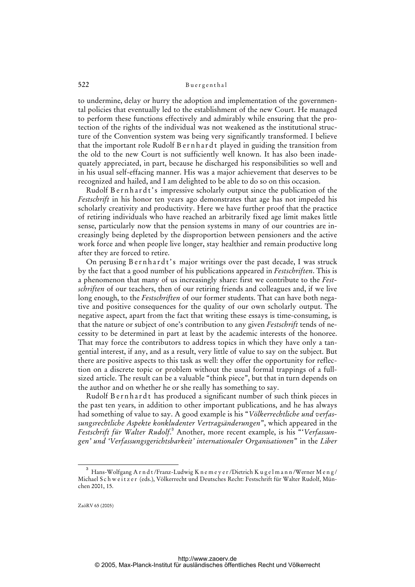### 522 Buergenthal

to undermine, delay or hurry the adoption and implementation of the governmental policies that eventually led to the establishment of the new Court. He managed to perform these functions effectively and admirably while ensuring that the protection of the rights of the individual was not weakened as the institutional structure of the Convention system was being very significantly transformed. I believe that the important role Rudolf Bernhardt played in guiding the transition from the old to the new Court is not sufficiently well known. It has also been inadequately appreciated, in part, because he discharged his responsibilities so well and in his usual self-effacing manner. His was a major achievement that deserves to be recognized and hailed, and I am delighted to be able to do so on this occasion.

Rudolf Bernhardt's impressive scholarly output since the publication of the *Festschrift* in his honor ten years ago demonstrates that age has not impeded his scholarly creativity and productivity. Here we have further proof that the practice of retiring individuals who have reached an arbitrarily fixed age limit makes little sense, particularly now that the pension systems in many of our countries are increasingly being depleted by the disproportion between pensioners and the active work force and when people live longer, stay healthier and remain productive long after they are forced to retire.

On perusing Bernhardt's major writings over the past decade, I was struck by the fact that a good number of his publications appeared in *Festschriften*. This is a phenomenon that many of us increasingly share: first we contribute to the *Festschriften* of our teachers, then of our retiring friends and colleagues and, if we live long enough, to the *Festschriften* of our former students. That can have both negative and positive consequences for the quality of our own scholarly output. The negative aspect, apart from the fact that writing these essays is time-consuming, is that the nature or subject of one's contribution to any given *Festschrift* tends of necessity to be determined in part at least by the academic interests of the honoree. That may force the contributors to address topics in which they have only a tangential interest, if any, and as a result, very little of value to say on the subject. But there are positive aspects to this task as well: they offer the opportunity for reflection on a discrete topic or problem without the usual formal trappings of a fullsized article. The result can be a valuable "think piece", but that in turn depends on the author and on whether he or she really has something to say.

Rudolf Bernhardt has produced a significant number of such think pieces in the past ten years, in addition to other important publications, and he has always had something of value to say. A good example is his "*Völkerrechtliche und verfassungsrechtliche Aspekte konkludenter Vertragsänderungen*", which appeared in the Festschrift für Walter Rudolf.<sup>3</sup> Another, more recent example, is his "'Verfassun*gen' und 'Verfassungsgerichtsbarkeit' internationaler Organisationen*" in the *Liber* 

 $\overline{\phantom{0}}$  3  $^3$  Hans-Wolfgang A r n d t /Franz-Ludwig K n e m e y e r /Dietrich K u g e l m a n n /Werner M e n g / Michael S c h w e i t z e r (eds.), Völkerrecht und Deutsches Recht: Festschrift für Walter Rudolf, München 2001, 15.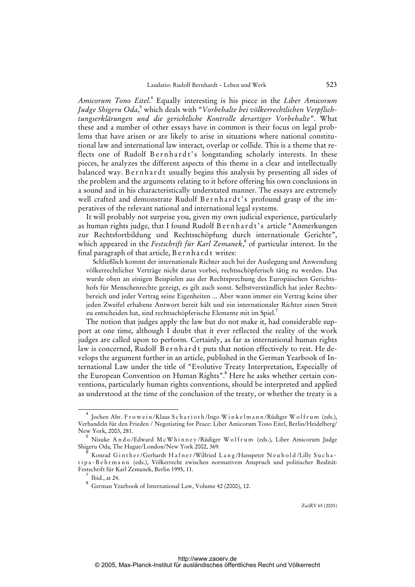Amicorum Tono Eitel.<sup>4</sup> Equally interesting is his piece in the Liber Amicorum Judge Shigeru Oda,<sup>5</sup> which deals with "*Vorbehalte bei völkerrechtlichen Verpflichtungserklärungen und die gerichtliche Kontrolle derartiger Vorbehalte*". What these and a number of other essays have in common is their focus on legal problems that have arisen or are likely to arise in situations where national constitutional law and international law interact, overlap or collide. This is a theme that reflects one of Rudolf Bernhardt's longstanding scholarly interests. In these pieces, he analyzes the different aspects of this theme in a clear and intellectually balanced way. B e r n h a r d t usually begins this analysis by presenting all sides of the problem and the arguments relating to it before offering his own conclusions in a sound and in his characteristically understated manner. The essays are extremely well crafted and demonstrate Rudolf Bernhardt's profound grasp of the imperatives of the relevant national and international legal systems.

It will probably not surprise you, given my own judicial experience, particularly as human rights judge, that I found Rudolf Bernhardt's article "Anmerkungen zur Rechtsfortbildung und Rechtsschöpfung durch internationale Gerichte", which appeared in the *Festschrift für Karl Zemanek*, of particular interest. In the final paragraph of that article, B e r n h a r d t writes:

Schließlich kommt der internationale Richter auch bei der Auslegung und Anwendung völkerrechtlicher Verträge nicht daran vorbei, rechtsschöpferisch tätig zu werden. Das wurde oben an einigen Beispielen aus der Rechtsprechung des Europäischen Gerichtshofs für Menschenrechte gezeigt, es gilt auch sonst. Selbstverständlich hat jeder Rechtsbereich und jeder Vertrag seine Eigenheiten ... Aber wann immer ein Vertrag keine über jeden Zweifel erhabene Antwort bereit hält und ein internationaler Richter einen Streit zu entscheiden hat, sind rechtsschöpferische Elemente mit im Spiel.<sup>7</sup>

The notion that judges apply the law but do not make it, had considerable support at one time, although I doubt that it ever reflected the reality of the work judges are called upon to perform. Certainly, as far as international human rights law is concerned, Rudolf Bernhardt puts that notion effectively to rest. He develops the argument further in an article, published in the German Yearbook of International Law under the title of "Evolutive Treaty Interpretation, Especially of the European Convention on Human Rights".<sup>8</sup> Here he asks whether certain conventions, particularly human rights conventions, should be interpreted and applied as understood at the time of the conclusion of the treaty, or whether the treaty is a

ZaöRV 65 (2005)

 $\overline{4}$ Jochen Abr. Frowein/Klaus Scharioth/Ingo Winkelmann/Rüdiger Wolfrum (eds.), Verhandeln für den Frieden / Negotiating for Peace: Liber Amicorum Tono Eitel, Berlin/Heidelberg/ New York, 2003, 281.

<sup>&</sup>lt;sup>5</sup> Nisuke Ando/Edward McWhinney/Rüdiger Wolfrum (eds.), Liber Amicorum Judge Shigeru Oda, The Hague/London/New York 2002, 369.

<sup>6</sup> Konrad Ginther/Gerhardt Hafner/Wilfried Lang/Hanspeter Neuhold/Lilly Suchar i p a - B e h r m a n n (eds.), Völkerrecht zwischen normativem Anspruch und politischer Realität: Festschrift für Karl Zemanek, Berlin 1995, 11.

 $\frac{7}{8}$  Ibid., at 24.

German Yearbook of International Law, Volume 42 (2000), 12.